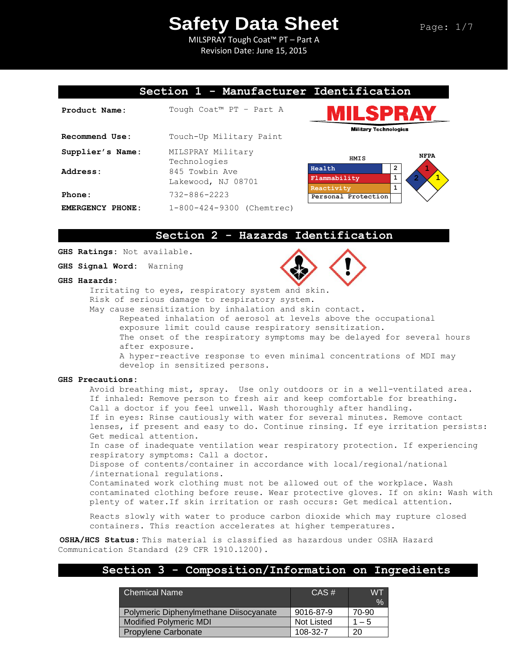MILSPRAY Tough Coat™ PT – Part A Revision Date: June 15, 2015

## **Section 1 - Manufacturer Identification**

| Product Name:    | Tough Coat™ PT - Part A              |  |  |
|------------------|--------------------------------------|--|--|
| Recommend Use:   | Touch-Up Military Paint              |  |  |
| Supplier's Name: | MILSPRAY Military<br>Technologies    |  |  |
| Address:         | 845 Towbin Ave<br>Lakewood, NJ 08701 |  |  |
| Phone:           | $732 - 886 - 2223$                   |  |  |
| EMERGENCY PHONE: | 1-800-424-9300 (Chemtrec)            |  |  |





## **Section 2 - Hazards Identification**

**GHS Ratings:** Not available.

**GHS Signal Word:** Warning

#### **GHS Hazards:**



Risk of serious damage to respiratory system.

May cause sensitization by inhalation and skin contact. Repeated inhalation of aerosol at levels above the occupational exposure limit could cause respiratory sensitization. The onset of the respiratory symptoms may be delayed for several hours after exposure. A hyper-reactive response to even minimal concentrations of MDI may develop in sensitized persons.

#### **GHS Precautions:**

Avoid breathing mist, spray. Use only outdoors or in a well-ventilated area. If inhaled: Remove person to fresh air and keep comfortable for breathing. Call a doctor if you feel unwell. Wash thoroughly after handling. If in eyes: Rinse cautiously with water for several minutes. Remove contact lenses, if present and easy to do. Continue rinsing. If eye irritation persists: Get medical attention. In case of inadequate ventilation wear respiratory protection. If experiencing

respiratory symptoms: Call a doctor.

Dispose of contents/container in accordance with local/regional/national /international regulations.

Contaminated work clothing must not be allowed out of the workplace. Wash contaminated clothing before reuse. Wear protective gloves. If on skin: Wash with plenty of water.If skin irritation or rash occurs: Get medical attention.

Reacts slowly with water to produce carbon dioxide which may rupture closed containers. This reaction accelerates at higher temperatures.

**OSHA/HCS Status**: This material is classified as hazardous under OSHA Hazard Communication Standard (29 CFR 1910.1200).

## **Section 3 - Composition/Information on Ingredients**

| <b>Chemical Name</b>                   | $CAS \#$          | <b>WT</b><br>$\frac{1}{2}$ |
|----------------------------------------|-------------------|----------------------------|
| Polymeric Diphenylmethane Diisocyanate | 9016-87-9         | 70-90                      |
| <b>Modified Polymeric MDI</b>          | <b>Not Listed</b> | $-5$                       |
| Propylene Carbonate                    | 108-32-7          | 20                         |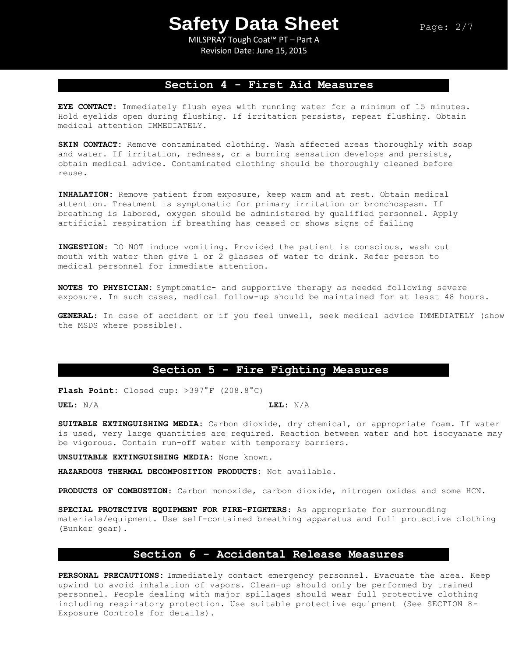MILSPRAY Tough Coat™ PT – Part A Revision Date: June 15, 2015

## **Section 4 - First Aid Measures**

**EYE CONTACT:** Immediately flush eyes with running water for a minimum of 15 minutes. Hold eyelids open during flushing. If irritation persists, repeat flushing. Obtain medical attention IMMEDIATELY.

**SKIN CONTACT:** Remove contaminated clothing. Wash affected areas thoroughly with soap and water. If irritation, redness, or a burning sensation develops and persists, obtain medical advice. Contaminated clothing should be thoroughly cleaned before reuse.

**INHALATION:** Remove patient from exposure, keep warm and at rest. Obtain medical attention. Treatment is symptomatic for primary irritation or bronchospasm. If breathing is labored, oxygen should be administered by qualified personnel. Apply artificial respiration if breathing has ceased or shows signs of failing

**INGESTION:** DO NOT induce vomiting. Provided the patient is conscious, wash out mouth with water then give 1 or 2 glasses of water to drink. Refer person to medical personnel for immediate attention.

**NOTES TO PHYSICIAN:** Symptomatic- and supportive therapy as needed following severe exposure. In such cases, medical follow-up should be maintained for at least 48 hours.

**GENERAL**: In case of accident or if you feel unwell, seek medical advice IMMEDIATELY (show the MSDS where possible).

# **Section 5 - Fire Fighting Measures**

**Flash Point:** Closed cup: >397°F (208.8°C)

**UEL:** N/A **LEL:** N/A

**SUITABLE EXTINGUISHING MEDIA:** Carbon dioxide, dry chemical, or appropriate foam. If water is used, very large quantities are required. Reaction between water and hot isocyanate may be vigorous. Contain run-off water with temporary barriers.

**UNSUITABLE EXTINGUISHING MEDIA:** None known.

**HAZARDOUS THERMAL DECOMPOSITION PRODUCTS:** Not available.

**PRODUCTS OF COMBUSTION**: Carbon monoxide, carbon dioxide, nitrogen oxides and some HCN.

**SPECIAL PROTECTIVE EQUIPMENT FOR FIRE-FIGHTERS**: As appropriate for surrounding materials/equipment. Use self-contained breathing apparatus and full protective clothing (Bunker gear).

### **Section 6 - Accidental Release Measures**

**PERSONAL PRECAUTIONS:** Immediately contact emergency personnel. Evacuate the area. Keep upwind to avoid inhalation of vapors. Clean-up should only be performed by trained personnel. People dealing with major spillages should wear full protective clothing including respiratory protection. Use suitable protective equipment (See SECTION 8- Exposure Controls for details).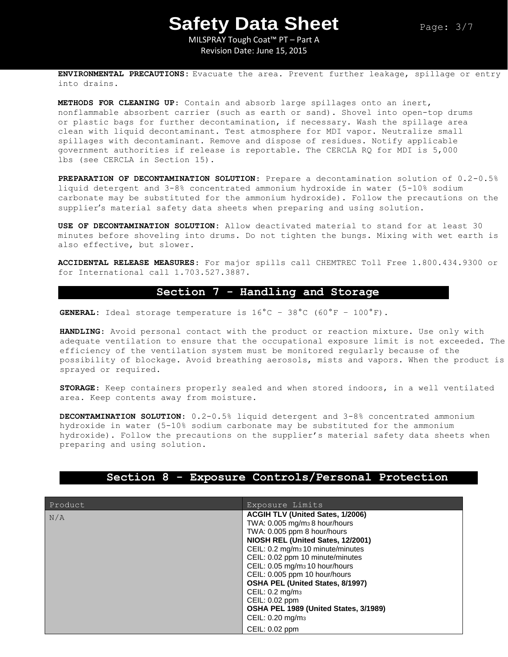MILSPRAY Tough Coat™ PT – Part A Revision Date: June 15, 2015

**ENVIRONMENTAL PRECAUTIONS:** Evacuate the area. Prevent further leakage, spillage or entry into drains.

**METHODS FOR CLEANING UP**: Contain and absorb large spillages onto an inert, nonflammable absorbent carrier (such as earth or sand). Shovel into open-top drums or plastic bags for further decontamination, if necessary. Wash the spillage area clean with liquid decontaminant. Test atmosphere for MDI vapor. Neutralize small spillages with decontaminant. Remove and dispose of residues. Notify applicable government authorities if release is reportable. The CERCLA RQ for MDI is 5,000 lbs (see CERCLA in Section 15).

**PREPARATION OF DECONTAMINATION SOLUTION**: Prepare a decontamination solution of 0.2-0.5% liquid detergent and 3-8% concentrated ammonium hydroxide in water (5-10% sodium carbonate may be substituted for the ammonium hydroxide). Follow the precautions on the supplier's material safety data sheets when preparing and using solution.

**USE OF DECONTAMINATION SOLUTION:** Allow deactivated material to stand for at least 30 minutes before shoveling into drums. Do not tighten the bungs. Mixing with wet earth is also effective, but slower.

**ACCIDENTAL RELEASE MEASURES**: For major spills call CHEMTREC Toll Free 1.800.434.9300 or for International call 1.703.527.3887.

## **Section 7 - Handling and Storage**

**GENERAL:** Ideal storage temperature is  $16^{\circ}$ C –  $38^{\circ}$ C ( $60^{\circ}$ F –  $100^{\circ}$ F).

**HANDLING**: Avoid personal contact with the product or reaction mixture. Use only with adequate ventilation to ensure that the occupational exposure limit is not exceeded. The efficiency of the ventilation system must be monitored regularly because of the possibility of blockage. Avoid breathing aerosols, mists and vapors. When the product is sprayed or required.

**STORAGE**: Keep containers properly sealed and when stored indoors, in a well ventilated area. Keep contents away from moisture.

**DECONTAMINATION SOLUTION**: 0.2-0.5% liquid detergent and 3-8% concentrated ammonium hydroxide in water (5-10% sodium carbonate may be substituted for the ammonium hydroxide). Follow the precautions on the supplier's material safety data sheets when preparing and using solution.

| Product | Exposure Limits                               |
|---------|-----------------------------------------------|
| N/A     | ACGIH TLV (United Sates, 1/2006)              |
|         | TWA: 0.005 mg/m <sub>3</sub> 8 hour/hours     |
|         | TWA: 0.005 ppm 8 hour/hours                   |
|         | NIOSH REL (United Sates, 12/2001)             |
|         | CEIL: 0.2 mg/m <sub>3</sub> 10 minute/minutes |
|         | CEIL: 0.02 ppm 10 minute/minutes              |
|         | CEIL: 0.05 mg/m <sub>3</sub> 10 hour/hours    |
|         | CEIL: 0.005 ppm 10 hour/hours                 |
|         | OSHA PEL (United States, 8/1997)              |
|         | CEIL: $0.2 \text{ mg/m}_3$                    |
|         | CEIL: 0.02 ppm                                |
|         | OSHA PEL 1989 (United States, 3/1989)         |
|         | CEIL: 0.20 mg/m <sub>3</sub>                  |
|         | CEIL: 0.02 ppm                                |

## **Section 8 - Exposure Controls/Personal Protection**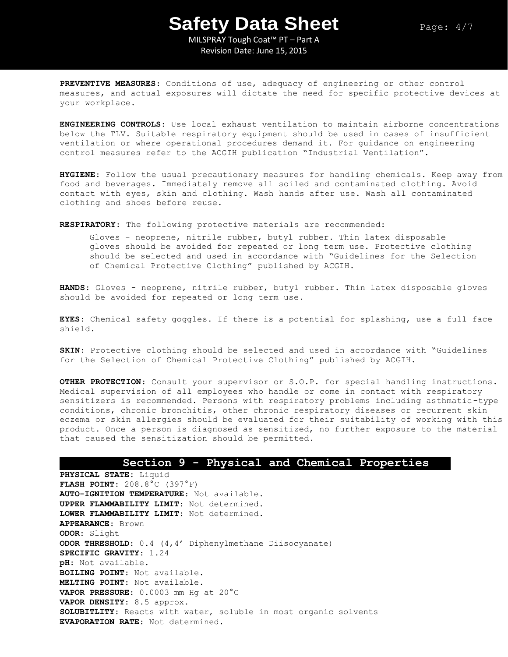MILSPRAY Tough Coat™ PT – Part A Revision Date: June 15, 2015

**PREVENTIVE MEASURES**: Conditions of use, adequacy of engineering or other control measures, and actual exposures will dictate the need for specific protective devices at your workplace.

**ENGINEERING CONTROLS**: Use local exhaust ventilation to maintain airborne concentrations below the TLV. Suitable respiratory equipment should be used in cases of insufficient ventilation or where operational procedures demand it. For guidance on engineering control measures refer to the ACGIH publication "Industrial Ventilation".

**HYGIENE**: Follow the usual precautionary measures for handling chemicals. Keep away from food and beverages. Immediately remove all soiled and contaminated clothing. Avoid contact with eyes, skin and clothing. Wash hands after use. Wash all contaminated clothing and shoes before reuse.

**RESPIRATORY**: The following protective materials are recommended:

Gloves - neoprene, nitrile rubber, butyl rubber. Thin latex disposable gloves should be avoided for repeated or long term use. Protective clothing should be selected and used in accordance with "Guidelines for the Selection of Chemical Protective Clothing" published by ACGIH.

**HANDS**: Gloves - neoprene, nitrile rubber, butyl rubber. Thin latex disposable gloves should be avoided for repeated or long term use.

**EYES**: Chemical safety goggles. If there is a potential for splashing, use a full face shield.

**SKIN**: Protective clothing should be selected and used in accordance with "Guidelines for the Selection of Chemical Protective Clothing" published by ACGIH.

**OTHER PROTECTION**: Consult your supervisor or S.O.P. for special handling instructions. Medical supervision of all employees who handle or come in contact with respiratory sensitizers is recommended. Persons with respiratory problems including asthmatic-type conditions, chronic bronchitis, other chronic respiratory diseases or recurrent skin eczema or skin allergies should be evaluated for their suitability of working with this product. Once a person is diagnosed as sensitized, no further exposure to the material that caused the sensitization should be permitted.

## **Section 9 - Physical and Chemical Properties**

**PHYSICAL STATE:** Liquid **FLASH POINT**: 208.8°C (397°F) **AUTO-IGNITION TEMPERATURE**: Not available. **UPPER FLAMMABILITY LIMIT**: Not determined. **LOWER FLAMMABILITY LIMIT**: Not determined. **APPEARANCE**: Brown **ODOR**: Slight **ODOR THRESHOLD**: 0.4 (4,4' Diphenylmethane Diisocyanate) **SPECIFIC GRAVITY**: 1.24 **pH**: Not available. **BOILING POINT**: Not available. **MELTING POINT**: Not available. **VAPOR PRESSURE**: 0.0003 mm Hg at 20°C **VAPOR DENSITY**: 8.5 approx. **SOLUBITLITY**: Reacts with water, soluble in most organic solvents **EVAPORATION RATE**: Not determined.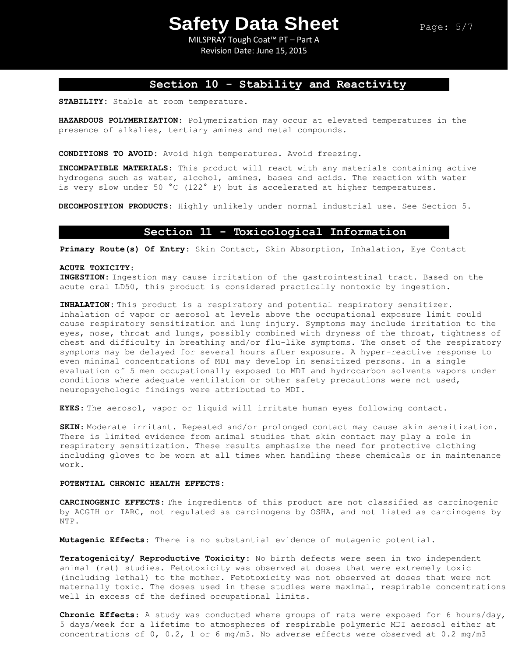MILSPRAY Tough Coat™ PT – Part A Revision Date: June 15, 2015

# **Section 10 - Stability and Reactivity**

**STABILITY:** Stable at room temperature.

**HAZARDOUS POLYMERIZATION**: Polymerization may occur at elevated temperatures in the presence of alkalies, tertiary amines and metal compounds.

**CONDITIONS TO AVOID:** Avoid high temperatures. Avoid freezing.

**INCOMPATIBLE MATERIALS**: This product will react with any materials containing active hydrogens such as water, alcohol, amines, bases and acids. The reaction with water is very slow under 50 °C (122° F) but is accelerated at higher temperatures.

**DECOMPOSITION PRODUCTS**: Highly unlikely under normal industrial use. See Section 5.

### **Section 11 - Toxicological Information**

**Primary Route(s) Of Entry**: Skin Contact, Skin Absorption, Inhalation, Eye Contact

#### **ACUTE TOXICITY:**

**INGESTION:** Ingestion may cause irritation of the gastrointestinal tract. Based on the acute oral LD50, this product is considered practically nontoxic by ingestion.

**INHALATION:** This product is a respiratory and potential respiratory sensitizer. Inhalation of vapor or aerosol at levels above the occupational exposure limit could cause respiratory sensitization and lung injury. Symptoms may include irritation to the eyes, nose, throat and lungs, possibly combined with dryness of the throat, tightness of chest and difficulty in breathing and/or flu-like symptoms. The onset of the respiratory symptoms may be delayed for several hours after exposure. A hyper-reactive response to even minimal concentrations of MDI may develop in sensitized persons. In a single evaluation of 5 men occupationally exposed to MDI and hydrocarbon solvents vapors under conditions where adequate ventilation or other safety precautions were not used, neuropsychologic findings were attributed to MDI.

**EYES**: The aerosol, vapor or liquid will irritate human eyes following contact.

**SKIN**: Moderate irritant. Repeated and/or prolonged contact may cause skin sensitization. There is limited evidence from animal studies that skin contact may play a role in respiratory sensitization. These results emphasize the need for protective clothing including gloves to be worn at all times when handling these chemicals or in maintenance work.

### **POTENTIAL CHRONIC HEALTH EFFECTS:**

**CARCINOGENIC EFFECTS**: The ingredients of this product are not classified as carcinogenic by ACGIH or IARC, not regulated as carcinogens by OSHA, and not listed as carcinogens by NTP.

**Mutagenic Effects**: There is no substantial evidence of mutagenic potential.

**Teratogenicity/ Reproductive Toxicity**: No birth defects were seen in two independent animal (rat) studies. Fetotoxicity was observed at doses that were extremely toxic (including lethal) to the mother. Fetotoxicity was not observed at doses that were not maternally toxic. The doses used in these studies were maximal, respirable concentrations well in excess of the defined occupational limits.

**Chronic Effects**: A study was conducted where groups of rats were exposed for 6 hours/day, 5 days/week for a lifetime to atmospheres of respirable polymeric MDI aerosol either at concentrations of 0, 0.2, 1 or 6 mg/m3. No adverse effects were observed at 0.2 mg/m3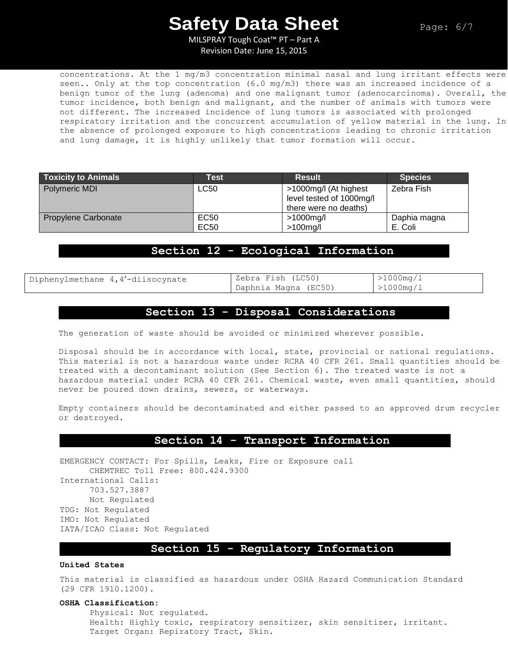MILSPRAY Tough Coat™ PT – Part A Revision Date: June 15, 2015

concentrations. At the 1 mg/m3 concentration minimal nasal and lung irritant effects were seen.. Only at the top concentration (6.0 mg/m3) there was an increased incidence of a benign tumor of the lung (adenoma) and one malignant tumor (adenocarcinoma). Overall, the tumor incidence, both benign and malignant, and the number of animals with tumors were not different. The increased incidence of lung tumors is associated with prolonged respiratory irritation and the concurrent accumulation of yellow material in the lung. In the absence of prolonged exposure to high concentrations leading to chronic irritation and lung damage, it is highly unlikely that tumor formation will occur.

| <b>Toxicity to Animals</b> | <b>Test</b> | <b>Result</b>            | <b>Species</b> |
|----------------------------|-------------|--------------------------|----------------|
| Polymeric MDI              | LC50        | >1000mg/l (At highest    | Zebra Fish     |
|                            |             | level tested of 1000mg/l |                |
|                            |             | there were no deaths)    |                |
| Propylene Carbonate        | EC50        | >1000mg/l                | Daphia magna   |
|                            | EC50        | $>100$ mg/l              | E. Coli        |

# **Section 12 - Ecological Information**

Diphenylmethane  $4,4'-diisocynate$  | Zebra Fish (LC50)

Daphnia Magna (EC50)

>1000mg/l >1000mg/l

# **Section 13 - Disposal Considerations**

The generation of waste should be avoided or minimized wherever possible.

Disposal should be in accordance with local, state, provincial or national regulations. This material is not a hazardous waste under RCRA 40 CFR 261. Small quantities should be treated with a decontaminant solution (See Section 6). The treated waste is not a hazardous material under RCRA 40 CFR 261. Chemical waste, even small quantities, should never be poured down drains, sewers, or waterways.

Empty containers should be decontaminated and either passed to an approved drum recycler or destroyed.

### **Section 14 - Transport Information**

EMERGENCY CONTACT: For Spills, Leaks, Fire or Exposure call CHEMTREC Toll Free: 800.424.9300 International Calls: 703.527.3887 Not Regulated TDG: Not Regulated IMO: Not Regulated IATA/ICAO Class: Not Regulated

## **Section 15 - Regulatory Information**

### **United States**

This material is classified as hazardous under OSHA Hazard Communication Standard (29 CFR 1910.1200).

#### **OSHA Classification:**

Physical: Not regulated. Health: Highly toxic, respiratory sensitizer, skin sensitizer, irritant. Target Organ: Repiratory Tract, Skin.